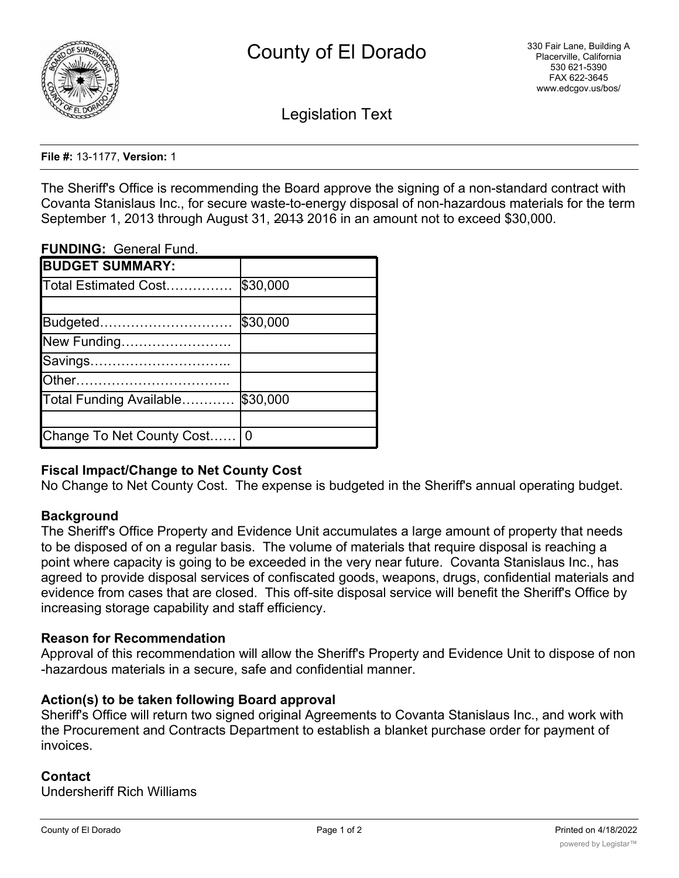

Legislation Text

#### **File #:** 13-1177, **Version:** 1

The Sheriff's Office is recommending the Board approve the signing of a non-standard contract with Covanta Stanislaus Inc., for secure waste-to-energy disposal of non-hazardous materials for the term September 1, 2013 through August 31, 2013 2016 in an amount not to exceed \$30,000.

### **FUNDING:** General Fund.

| <b>BUDGET SUMMARY:</b>    |          |
|---------------------------|----------|
| Total Estimated Cost      | \$30,000 |
|                           |          |
| Budgeted                  | \$30,000 |
| New Funding               |          |
| Savings                   |          |
| lOther                    |          |
| Total Funding Available   | \$30,000 |
|                           |          |
| Change To Net County Cost | 0        |

## **Fiscal Impact/Change to Net County Cost**

No Change to Net County Cost. The expense is budgeted in the Sheriff's annual operating budget.

## **Background**

The Sheriff's Office Property and Evidence Unit accumulates a large amount of property that needs to be disposed of on a regular basis. The volume of materials that require disposal is reaching a point where capacity is going to be exceeded in the very near future. Covanta Stanislaus Inc., has agreed to provide disposal services of confiscated goods, weapons, drugs, confidential materials and evidence from cases that are closed. This off-site disposal service will benefit the Sheriff's Office by increasing storage capability and staff efficiency.

#### **Reason for Recommendation**

Approval of this recommendation will allow the Sheriff's Property and Evidence Unit to dispose of non -hazardous materials in a secure, safe and confidential manner.

## **Action(s) to be taken following Board approval**

Sheriff's Office will return two signed original Agreements to Covanta Stanislaus Inc., and work with the Procurement and Contracts Department to establish a blanket purchase order for payment of invoices.

## **Contact**

Undersheriff Rich Williams